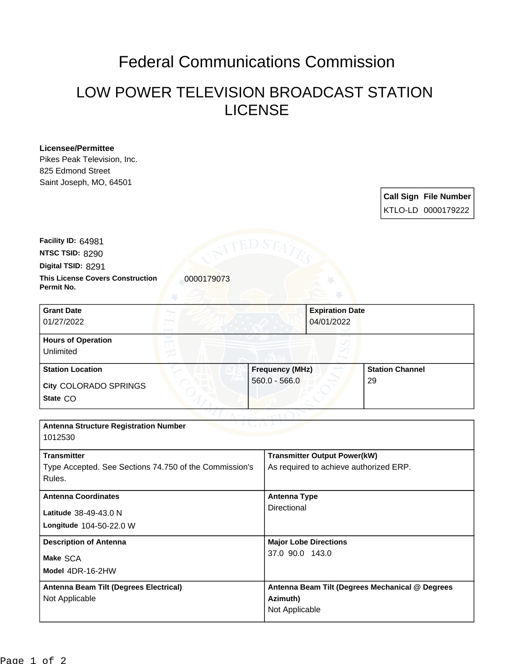## Federal Communications Commission

## LOW POWER TELEVISION BROADCAST STATION LICENSE

## **Licensee/Permittee**

Pikes Peak Television, Inc. 825 Edmond Street Saint Joseph, MO, 64501

> **Call Sign File Number** KTLO-LD 0000179222

**This License Covers Construction**  0000179073 **Digital TSID:** 8291 **NTSC TSID:** 8290 **Facility ID:** 64981

**Permit No.**

| <b>Grant Date</b><br>01/27/2022        | <b>Expiration Date</b><br>04/01/2022 |                        |
|----------------------------------------|--------------------------------------|------------------------|
| <b>Hours of Operation</b><br>Unlimited |                                      |                        |
| <b>Station Location</b>                | <b>Frequency (MHz)</b>               | <b>Station Channel</b> |
| City COLORADO SPRINGS<br>State CO      | $560.0 - 566.0$                      | 29                     |

| <b>Antenna Structure Registration Number</b><br>1012530                                |                                                                               |  |  |
|----------------------------------------------------------------------------------------|-------------------------------------------------------------------------------|--|--|
| <b>Transmitter</b><br>Type Accepted. See Sections 74.750 of the Commission's<br>Rules. | <b>Transmitter Output Power(kW)</b><br>As required to achieve authorized ERP. |  |  |
| <b>Antenna Coordinates</b><br>Latitude 38-49-43.0 N<br>Longitude 104-50-22.0 W         | <b>Antenna Type</b><br>Directional                                            |  |  |
| <b>Description of Antenna</b><br>Make SCA<br>Model 4DR-16-2HW                          | <b>Major Lobe Directions</b><br>37.0 90.0 143.0                               |  |  |
| Antenna Beam Tilt (Degrees Electrical)<br>Not Applicable                               | Antenna Beam Tilt (Degrees Mechanical @ Degrees<br>Azimuth)<br>Not Applicable |  |  |